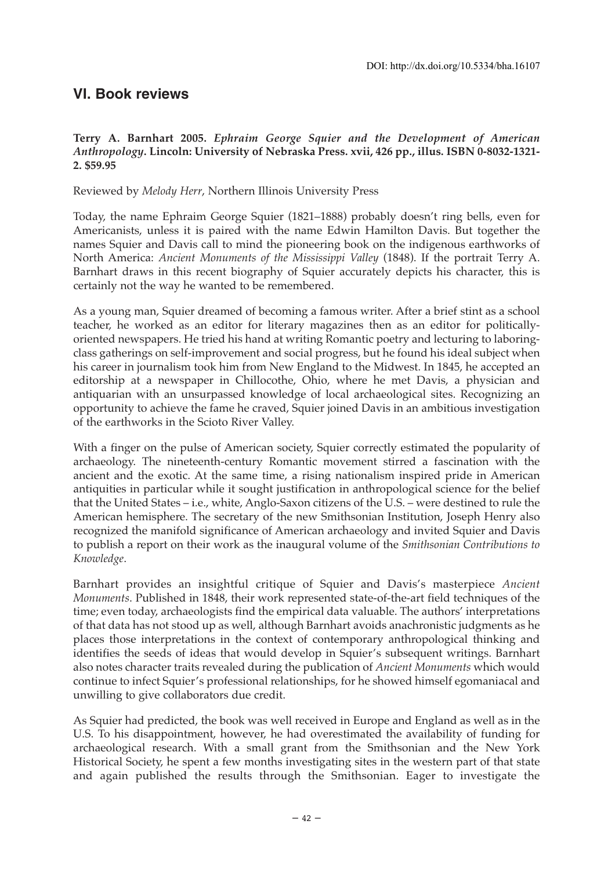# **VI. Book reviews**

**Terry A. Barnhart 2005.** *Ephraim George Squier and the Development of American Anthropology***. Lincoln: University of Nebraska Press. xvii, 426 pp., illus. ISBN 0-8032-1321- 2. \$59.95**

Reviewed by *Melody Herr*, Northern Illinois University Press

Today, the name Ephraim George Squier (1821–1888) probably doesn't ring bells, even for Americanists, unless it is paired with the name Edwin Hamilton Davis. But together the names Squier and Davis call to mind the pioneering book on the indigenous earthworks of North America: *Ancient Monuments of the Mississippi Valley* (1848). If the portrait Terry A. Barnhart draws in this recent biography of Squier accurately depicts his character, this is certainly not the way he wanted to be remembered.

As a young man, Squier dreamed of becoming a famous writer. After a brief stint as a school teacher, he worked as an editor for literary magazines then as an editor for politicallyoriented newspapers. He tried his hand at writing Romantic poetry and lecturing to laboringclass gatherings on self-improvement and social progress, but he found his ideal subject when his career in journalism took him from New England to the Midwest. In 1845, he accepted an editorship at a newspaper in Chillocothe, Ohio, where he met Davis, a physician and antiquarian with an unsurpassed knowledge of local archaeological sites. Recognizing an opportunity to achieve the fame he craved, Squier joined Davis in an ambitious investigation of the earthworks in the Scioto River Valley.

With a finger on the pulse of American society, Squier correctly estimated the popularity of archaeology. The nineteenth-century Romantic movement stirred a fascination with the ancient and the exotic. At the same time, a rising nationalism inspired pride in American antiquities in particular while it sought justification in anthropological science for the belief that the United States – i.e., white, Anglo-Saxon citizens of the U.S. – were destined to rule the American hemisphere. The secretary of the new Smithsonian Institution, Joseph Henry also recognized the manifold significance of American archaeology and invited Squier and Davis to publish a report on their work as the inaugural volume of the *Smithsonian Contributions to Knowledge*.

Barnhart provides an insightful critique of Squier and Davis's masterpiece *Ancient Monuments*. Published in 1848, their work represented state-of-the-art field techniques of the time; even today, archaeologists find the empirical data valuable. The authors' interpretations of that data has not stood up as well, although Barnhart avoids anachronistic judgments as he places those interpretations in the context of contemporary anthropological thinking and identifies the seeds of ideas that would develop in Squier's subsequent writings. Barnhart also notes character traits revealed during the publication of *Ancient Monuments* which would continue to infect Squier's professional relationships, for he showed himself egomaniacal and unwilling to give collaborators due credit.

As Squier had predicted, the book was well received in Europe and England as well as in the U.S. To his disappointment, however, he had overestimated the availability of funding for archaeological research. With a small grant from the Smithsonian and the New York Historical Society, he spent a few months investigating sites in the western part of that state and again published the results through the Smithsonian. Eager to investigate the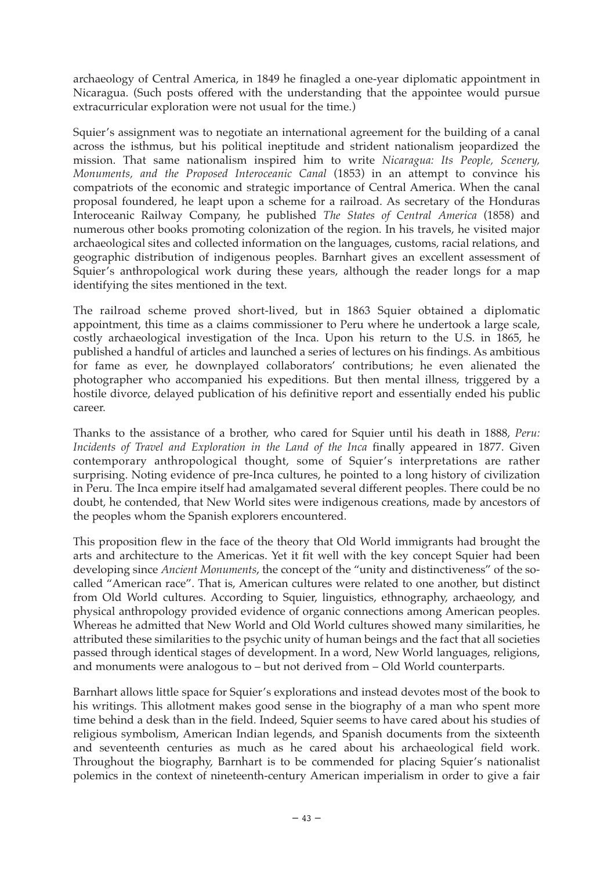archaeology of Central America, in 1849 he finagled a one-year diplomatic appointment in Nicaragua. (Such posts offered with the understanding that the appointee would pursue extracurricular exploration were not usual for the time.)

Squier's assignment was to negotiate an international agreement for the building of a canal across the isthmus, but his political ineptitude and strident nationalism jeopardized the mission. That same nationalism inspired him to write *Nicaragua: Its People, Scenery, Monuments, and the Proposed Interoceanic Canal* (1853) in an attempt to convince his compatriots of the economic and strategic importance of Central America. When the canal proposal foundered, he leapt upon a scheme for a railroad. As secretary of the Honduras Interoceanic Railway Company, he published *The States of Central America* (1858) and numerous other books promoting colonization of the region. In his travels, he visited major archaeological sites and collected information on the languages, customs, racial relations, and geographic distribution of indigenous peoples. Barnhart gives an excellent assessment of Squier's anthropological work during these years, although the reader longs for a map identifying the sites mentioned in the text.

The railroad scheme proved short-lived, but in 1863 Squier obtained a diplomatic appointment, this time as a claims commissioner to Peru where he undertook a large scale, costly archaeological investigation of the Inca. Upon his return to the U.S. in 1865, he published a handful of articles and launched a series of lectures on his findings. As ambitious for fame as ever, he downplayed collaborators' contributions; he even alienated the photographer who accompanied his expeditions. But then mental illness, triggered by a hostile divorce, delayed publication of his definitive report and essentially ended his public career.

Thanks to the assistance of a brother, who cared for Squier until his death in 1888, *Peru: Incidents of Travel and Exploration in the Land of the Inca* finally appeared in 1877. Given contemporary anthropological thought, some of Squier's interpretations are rather surprising. Noting evidence of pre-Inca cultures, he pointed to a long history of civilization in Peru. The Inca empire itself had amalgamated several different peoples. There could be no doubt, he contended, that New World sites were indigenous creations, made by ancestors of the peoples whom the Spanish explorers encountered.

This proposition flew in the face of the theory that Old World immigrants had brought the arts and architecture to the Americas. Yet it fit well with the key concept Squier had been developing since *Ancient Monuments*, the concept of the "unity and distinctiveness" of the socalled "American race". That is, American cultures were related to one another, but distinct from Old World cultures. According to Squier, linguistics, ethnography, archaeology, and physical anthropology provided evidence of organic connections among American peoples. Whereas he admitted that New World and Old World cultures showed many similarities, he attributed these similarities to the psychic unity of human beings and the fact that all societies passed through identical stages of development. In a word, New World languages, religions, and monuments were analogous to – but not derived from – Old World counterparts.

Barnhart allows little space for Squier's explorations and instead devotes most of the book to his writings. This allotment makes good sense in the biography of a man who spent more time behind a desk than in the field. Indeed, Squier seems to have cared about his studies of religious symbolism, American Indian legends, and Spanish documents from the sixteenth and seventeenth centuries as much as he cared about his archaeological field work. Throughout the biography, Barnhart is to be commended for placing Squier's nationalist polemics in the context of nineteenth-century American imperialism in order to give a fair